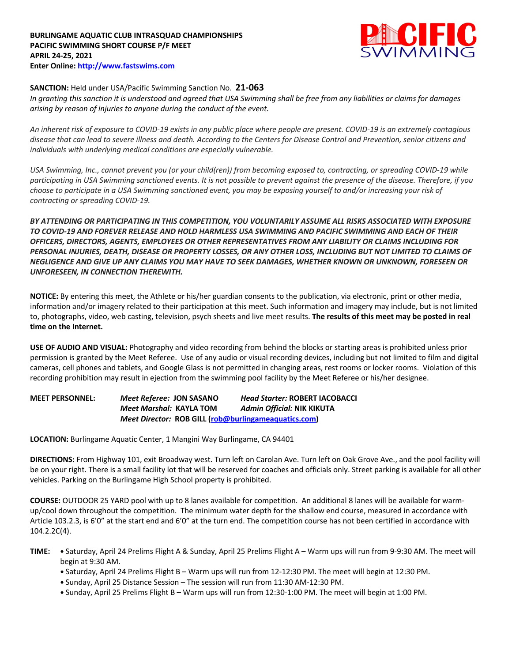

## **SANCTION:** Held under USA/Pacific Swimming Sanction No. **21-063**

*In granting this sanction it is understood and agreed that USA Swimming shall be free from any liabilities or claims for damages arising by reason of injuries to anyone during the conduct of the event.* 

*An inherent risk of exposure to COVID-19 exists in any public place where people are present. COVID-19 is an extremely contagious disease that can lead to severe illness and death. According to the Centers for Disease Control and Prevention, senior citizens and individuals with underlying medical conditions are especially vulnerable.*

*USA Swimming, Inc., cannot prevent you (or your child(ren)) from becoming exposed to, contracting, or spreading COVID-19 while participating in USA Swimming sanctioned events. It is not possible to prevent against the presence of the disease. Therefore, if you choose to participate in a USA Swimming sanctioned event, you may be exposing yourself to and/or increasing your risk of contracting or spreading COVID-19.*

*BY ATTENDING OR PARTICIPATING IN THIS COMPETITION, YOU VOLUNTARILY ASSUME ALL RISKS ASSOCIATED WITH EXPOSURE TO COVID-19 AND FOREVER RELEASE AND HOLD HARMLESS USA SWIMMING AND PACIFIC SWIMMING AND EACH OF THEIR OFFICERS, DIRECTORS, AGENTS, EMPLOYEES OR OTHER REPRESENTATIVES FROM ANY LIABILITY OR CLAIMS INCLUDING FOR PERSONAL INJURIES, DEATH, DISEASE OR PROPERTY LOSSES, OR ANY OTHER LOSS, INCLUDING BUT NOT LIMITED TO CLAIMS OF NEGLIGENCE AND GIVE UP ANY CLAIMS YOU MAY HAVE TO SEEK DAMAGES, WHETHER KNOWN OR UNKNOWN, FORESEEN OR UNFORESEEN, IN CONNECTION THEREWITH.*

**NOTICE:** By entering this meet, the Athlete or his/her guardian consents to the publication, via electronic, print or other media, information and/or imagery related to their participation at this meet. Such information and imagery may include, but is not limited to, photographs, video, web casting, television, psych sheets and live meet results. **The results of this meet may be posted in real time on the Internet.**

**USE OF AUDIO AND VISUAL:** Photography and video recording from behind the blocks or starting areas is prohibited unless prior permission is granted by the Meet Referee. Use of any audio or visual recording devices, including but not limited to film and digital cameras, cell phones and tablets, and Google Glass is not permitted in changing areas, rest rooms or locker rooms. Violation of this recording prohibition may result in ejection from the swimming pool facility by the Meet Referee or his/her designee.

**MEET PERSONNEL:** *Meet Referee:* **JON SASANO** *Head Starter:* **ROBERT IACOBACCI** *Meet Marshal:* **KAYLA TOM** *Admin Official:* **NIK KIKUTA** *Meet Director:* **ROB GILL (rob@burlingameaquatics.com)**

**LOCATION:** Burlingame Aquatic Center, 1 Mangini Way Burlingame, CA 94401

**DIRECTIONS:** From Highway 101, exit Broadway west. Turn left on Carolan Ave. Turn left on Oak Grove Ave., and the pool facility will be on your right. There is a small facility lot that will be reserved for coaches and officials only. Street parking is available for all other vehicles. Parking on the Burlingame High School property is prohibited.

**COURSE:** OUTDOOR 25 YARD pool with up to 8 lanes available for competition. An additional 8 lanes will be available for warmup/cool down throughout the competition. The minimum water depth for the shallow end course, measured in accordance with Article 103.2.3, is 6'0" at the start end and 6'0" at the turn end. The competition course has not been certified in accordance with 104.2.2C(4).

- **TIME: •** Saturday, April 24 Prelims Flight A & Sunday, April 25 Prelims Flight A Warm ups will run from 9-9:30 AM. The meet will begin at 9:30 AM.
	- **•** Saturday, April 24 Prelims Flight B Warm ups will run from 12-12:30 PM. The meet will begin at 12:30 PM.
	- **•** Sunday, April 25 Distance Session The session will run from 11:30 AM-12:30 PM.
	- **•** Sunday, April 25 Prelims Flight B Warm ups will run from 12:30-1:00 PM. The meet will begin at 1:00 PM.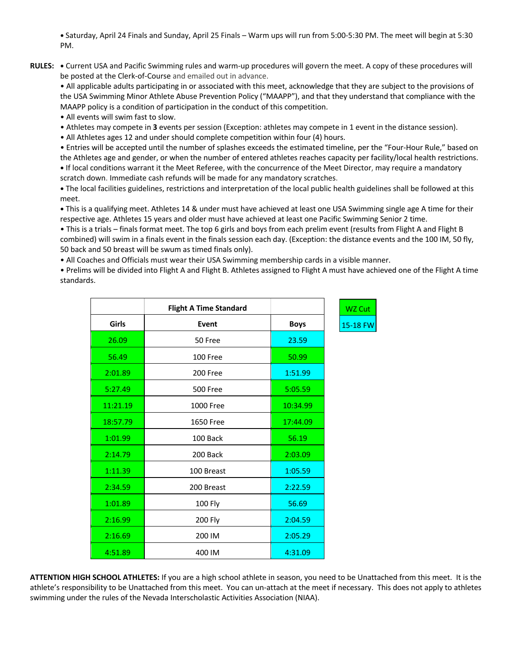**•** Saturday, April 24 Finals and Sunday, April 25 Finals – Warm ups will run from 5:00-5:30 PM. The meet will begin at 5:30 PM.

**RULES: •** Current USA and Pacific Swimming rules and warm-up procedures will govern the meet. A copy of these procedures will be posted at the Clerk-of-Course and emailed out in advance.

• All applicable adults participating in or associated with this meet, acknowledge that they are subject to the provisions of the USA Swimming Minor Athlete Abuse Prevention Policy ("MAAPP"), and that they understand that compliance with the MAAPP policy is a condition of participation in the conduct of this competition.

• All events will swim fast to slow.

- Athletes may compete in **3** events per session (Exception: athletes may compete in 1 event in the distance session).
- All Athletes ages 12 and under should complete competition within four (4) hours.

• Entries will be accepted until the number of splashes exceeds the estimated timeline, per the "Four-Hour Rule," based on the Athletes age and gender, or when the number of entered athletes reaches capacity per facility/local health restrictions. **•** If local conditions warrant it the Meet Referee, with the concurrence of the Meet Director, may require a mandatory

scratch down. Immediate cash refunds will be made for any mandatory scratches.

**•** The local facilities guidelines, restrictions and interpretation of the local public health guidelines shall be followed at this meet.

**•** This is a qualifying meet. Athletes 14 & under must have achieved at least one USA Swimming single age A time for their respective age. Athletes 15 years and older must have achieved at least one Pacific Swimming Senior 2 time.

• This is a trials – finals format meet. The top 6 girls and boys from each prelim event (results from Flight A and Flight B combined) will swim in a finals event in the finals session each day. (Exception: the distance events and the 100 IM, 50 fly, 50 back and 50 breast will be swum as timed finals only).

• All Coaches and Officials must wear their USA Swimming membership cards in a visible manner.

• Prelims will be divided into Flight A and Flight B. Athletes assigned to Flight A must have achieved one of the Flight A time standards.

3 FW

|          | <b>Flight A Time Standard</b> |             | WZ Cut   |
|----------|-------------------------------|-------------|----------|
| Girls    | Event                         | <b>Boys</b> | 15-18 FV |
| 26.09    | 50 Free                       | 23.59       |          |
| 56.49    | 100 Free                      | 50.99       |          |
| 2:01.89  | 200 Free                      | 1:51.99     |          |
| 5:27.49  | <b>500 Free</b>               | 5:05.59     |          |
| 11:21.19 | 1000 Free                     | 10:34.99    |          |
| 18:57.79 | 1650 Free                     | 17:44.09    |          |
| 1:01.99  | 100 Back                      | 56.19       |          |
| 2:14.79  | 200 Back                      | 2:03.09     |          |
| 1:11.39  | 100 Breast                    | 1:05.59     |          |
| 2:34.59  | 200 Breast                    | 2:22.59     |          |
| 1:01.89  | 100 Fly                       | 56.69       |          |
| 2:16.99  | 200 Fly                       | 2:04.59     |          |
| 2:16.69  | 200 IM                        | 2:05.29     |          |
| 4:51.89  | 400 IM                        | 4:31.09     |          |

**ATTENTION HIGH SCHOOL ATHLETES:** If you are a high school athlete in season, you need to be Unattached from this meet. It is the athlete's responsibility to be Unattached from this meet. You can un-attach at the meet if necessary. This does not apply to athletes swimming under the rules of the Nevada Interscholastic Activities Association (NIAA).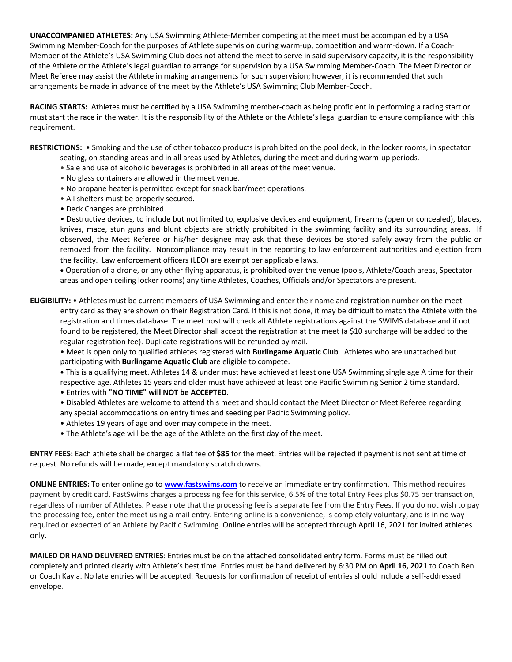**UNACCOMPANIED ATHLETES:** Any USA Swimming Athlete-Member competing at the meet must be accompanied by a USA Swimming Member-Coach for the purposes of Athlete supervision during warm-up, competition and warm-down. If a Coach-Member of the Athlete's USA Swimming Club does not attend the meet to serve in said supervisory capacity, it is the responsibility of the Athlete or the Athlete's legal guardian to arrange for supervision by a USA Swimming Member-Coach. The Meet Director or Meet Referee may assist the Athlete in making arrangements for such supervision; however, it is recommended that such arrangements be made in advance of the meet by the Athlete's USA Swimming Club Member-Coach.

**RACING STARTS:** Athletes must be certified by a USA Swimming member-coach as being proficient in performing a racing start or must start the race in the water. It is the responsibility of the Athlete or the Athlete's legal guardian to ensure compliance with this requirement.

**RESTRICTIONS:** • Smoking and the use of other tobacco products is prohibited on the pool deck, in the locker rooms, in spectator seating, on standing areas and in all areas used by Athletes, during the meet and during warm-up periods.

- Sale and use of alcoholic beverages is prohibited in all areas of the meet venue.
- No glass containers are allowed in the meet venue.
- No propane heater is permitted except for snack bar/meet operations.
- All shelters must be properly secured.
- Deck Changes are prohibited.

• Destructive devices, to include but not limited to, explosive devices and equipment, firearms (open or concealed), blades, knives, mace, stun guns and blunt objects are strictly prohibited in the swimming facility and its surrounding areas. If observed, the Meet Referee or his/her designee may ask that these devices be stored safely away from the public or removed from the facility. Noncompliance may result in the reporting to law enforcement authorities and ejection from the facility. Law enforcement officers (LEO) are exempt per applicable laws.

• Operation of a drone, or any other flying apparatus, is prohibited over the venue (pools, Athlete/Coach areas, Spectator areas and open ceiling locker rooms) any time Athletes, Coaches, Officials and/or Spectators are present.

**ELIGIBILITY:** • Athletes must be current members of USA Swimming and enter their name and registration number on the meet entry card as they are shown on their Registration Card. If this is not done, it may be difficult to match the Athlete with the registration and times database. The meet host will check all Athlete registrations against the SWIMS database and if not found to be registered, the Meet Director shall accept the registration at the meet (a \$10 surcharge will be added to the regular registration fee). Duplicate registrations will be refunded by mail.

• Meet is open only to qualified athletes registered with **Burlingame Aquatic Club**. Athletes who are unattached but participating with **Burlingame Aquatic Club** are eligible to compete.

**•** This is a qualifying meet. Athletes 14 & under must have achieved at least one USA Swimming single age A time for their respective age. Athletes 15 years and older must have achieved at least one Pacific Swimming Senior 2 time standard.

- Entries with **"NO TIME" will NOT be ACCEPTED**.
- Disabled Athletes are welcome to attend this meet and should contact the Meet Director or Meet Referee regarding any special accommodations on entry times and seeding per Pacific Swimming policy.
- Athletes 19 years of age and over may compete in the meet.
- The Athlete's age will be the age of the Athlete on the first day of the meet.

**ENTRY FEES:** Each athlete shall be charged a flat fee of **\$85** for the meet. Entries will be rejected if payment is not sent at time of request. No refunds will be made, except mandatory scratch downs.

**ONLINE ENTRIES:** To enter online go to **www.fastswims.com** to receive an immediate entry confirmation. This method requires payment by credit card. FastSwims charges a processing fee for this service, 6.5% of the total Entry Fees plus \$0.75 per transaction, regardless of number of Athletes. Please note that the processing fee is a separate fee from the Entry Fees. If you do not wish to pay the processing fee, enter the meet using a mail entry. Entering online is a convenience, is completely voluntary, and is in no way required or expected of an Athlete by Pacific Swimming. Online entries will be accepted through April 16, 2021 for invited athletes only.

**MAILED OR HAND DELIVERED ENTRIES**: Entries must be on the attached consolidated entry form. Forms must be filled out completely and printed clearly with Athlete's best time. Entries must be hand delivered by 6:30 PM on **April 16, 2021** to Coach Ben or Coach Kayla. No late entries will be accepted. Requests for confirmation of receipt of entries should include a self-addressed envelope.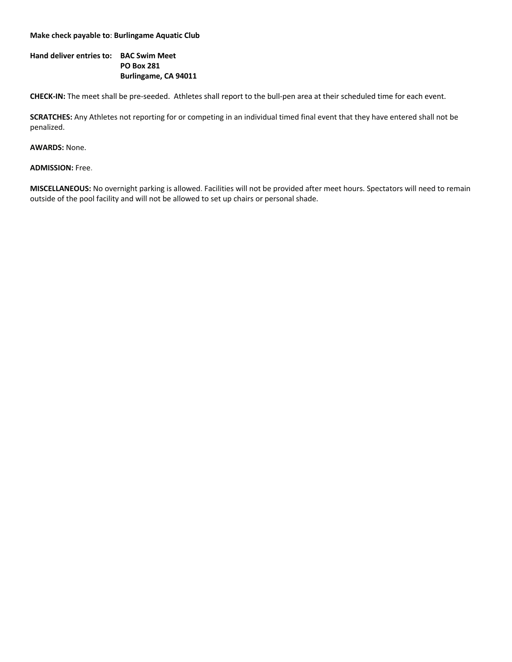### **Make check payable to**: **Burlingame Aquatic Club**

# **Hand deliver entries to: BAC Swim Meet PO Box 281 Burlingame, CA 94011**

**CHECK-IN:** The meet shall be pre-seeded. Athletes shall report to the bull-pen area at their scheduled time for each event.

**SCRATCHES:** Any Athletes not reporting for or competing in an individual timed final event that they have entered shall not be penalized.

### **AWARDS:** None.

**ADMISSION:** Free.

**MISCELLANEOUS:** No overnight parking is allowed. Facilities will not be provided after meet hours. Spectators will need to remain outside of the pool facility and will not be allowed to set up chairs or personal shade.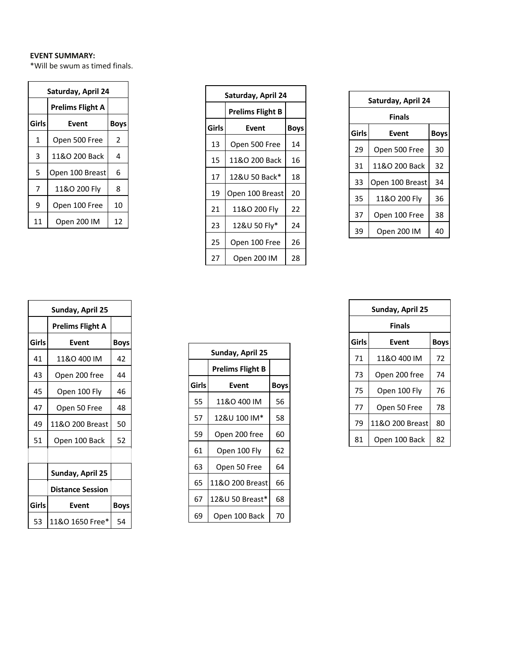## **EVENT SUMMARY:**

\*Will be swum as timed finals.

| Saturday, April 24 |                 |    |  |  |  |  |  |  |  |  |  |
|--------------------|-----------------|----|--|--|--|--|--|--|--|--|--|
|                    |                 |    |  |  |  |  |  |  |  |  |  |
| Girls              | Event           |    |  |  |  |  |  |  |  |  |  |
| 1                  | Open 500 Free   | 2  |  |  |  |  |  |  |  |  |  |
| 3                  | 11&O 200 Back   | 4  |  |  |  |  |  |  |  |  |  |
| 5                  | Open 100 Breast | 6  |  |  |  |  |  |  |  |  |  |
| 7                  | 11&O 200 Flv    | 8  |  |  |  |  |  |  |  |  |  |
| 9                  | Open 100 Free   | 10 |  |  |  |  |  |  |  |  |  |
| 11                 | Open 200 IM     | 12 |  |  |  |  |  |  |  |  |  |

|                         | Saturday, April 24   |    |
|-------------------------|----------------------|----|
| <b>Prelims Flight A</b> |                      |    |
| irls                    | Event<br><b>Boys</b> |    |
| 1                       | Open 500 Free        | 2  |
| 3                       | 11&O 200 Back        | 4  |
| 5                       | Open 100 Breast      | 6  |
| 7                       | 11&O 200 Fly         | 8  |
|                         |                      |    |
| 9                       | Open 100 Free        | 10 |
| L1                      | Open 200 IM          | 12 |
|                         |                      |    |
|                         |                      |    |

| Saturday, April 24            |                 |    |  |  |  |  |  |  |  |  |  |
|-------------------------------|-----------------|----|--|--|--|--|--|--|--|--|--|
| Finals                        |                 |    |  |  |  |  |  |  |  |  |  |
| Girls<br>Event<br><b>Boys</b> |                 |    |  |  |  |  |  |  |  |  |  |
| 29                            | Open 500 Free   | 30 |  |  |  |  |  |  |  |  |  |
| 31                            | 11&O 200 Back   | 32 |  |  |  |  |  |  |  |  |  |
| 33                            | Open 100 Breast | 34 |  |  |  |  |  |  |  |  |  |
| 35                            | 11&O 200 Fly    | 36 |  |  |  |  |  |  |  |  |  |
| 37                            | Open 100 Free   | 38 |  |  |  |  |  |  |  |  |  |
| 39                            | Open 200 IM     | 40 |  |  |  |  |  |  |  |  |  |

| Sunday, April 25        |                         |             |
|-------------------------|-------------------------|-------------|
| <b>Prelims Flight A</b> |                         |             |
| <b>Girls</b>            | Event                   | <b>Boys</b> |
| 41                      | 11&O 400 IM             | 42          |
| 43                      | Open 200 free           | 44          |
| 45                      | Open 100 Fly            | 46          |
| 47                      | Open 50 Free            | 48          |
| 49                      | 11&O 200 Breast         | 50          |
| 51                      | Open 100 Back           | 52          |
|                         |                         |             |
|                         | Sunday, April 25        |             |
|                         | <b>Distance Session</b> |             |
| <b>Girls</b>            | Event                   | <b>Boys</b> |
| 53                      | 11&O 1650 Free*         | 54          |

| 41      | 11&O 400 IM             | 42          | Sunday, April 25 |                         |             | 71 | 11&O 400 IM     | 72 |
|---------|-------------------------|-------------|------------------|-------------------------|-------------|----|-----------------|----|
| 43      | Open 200 free           | 44          |                  | <b>Prelims Flight B</b> |             | 73 | Open 200 free   | 74 |
| 45      | Open 100 Fly            | 46          | <b>Girls</b>     | Event                   | <b>Boys</b> | 75 | Open 100 Fly    | 76 |
| 47      | Open 50 Free            | 48          | 55               | 11&O 400 IM             | 56          | 77 | Open 50 Free    | 78 |
| 49      | 11&O 200 Breast         | 50          | 57               | 12&U 100 IM*            | 58          | 79 | 11&O 200 Breast | 80 |
| 51      | Open 100 Back           | 52          | 59               | Open 200 free           | 60          | 81 | Open 100 Back   | 82 |
|         |                         |             | 61               | Open 100 Fly            | 62          |    |                 |    |
|         | Sunday, April 25        |             | 63               | Open 50 Free            | 64          |    |                 |    |
|         | <b>Distance Session</b> |             | 65               | 11&O 200 Breast         | 66          |    |                 |    |
| iirls l | Event                   |             | 67               | 12&U 50 Breast*         | 68          |    |                 |    |
|         |                         | <b>Boys</b> | 69               | Open 100 Back           | 70          |    |                 |    |
|         | 53 11180 1650 Free* L   | 54          |                  |                         |             |    |                 |    |

| Sunday, April 25        |             |              |                  |                         |             |  |
|-------------------------|-------------|--------------|------------------|-------------------------|-------------|--|
| <b>Prelims Flight A</b> |             |              |                  |                         |             |  |
| Event                   | <b>Boys</b> |              |                  |                         |             |  |
| 11&O 400 IM             | 42          |              | Sunday, April 25 |                         |             |  |
| Open 200 free           | 44          |              |                  | <b>Prelims Flight B</b> |             |  |
| Open 100 Fly            | 46          | <b>Girls</b> |                  | Event                   | <b>Boys</b> |  |
| Open 50 Free            | 48          | 55           |                  | 11&O 400 IM             | 56          |  |
| 11&O 200 Breast         | 50          | 57           |                  | 12&U 100 IM*            | 58          |  |
| Open 100 Back           | 52          | 59           |                  | Open 200 free           | 60          |  |